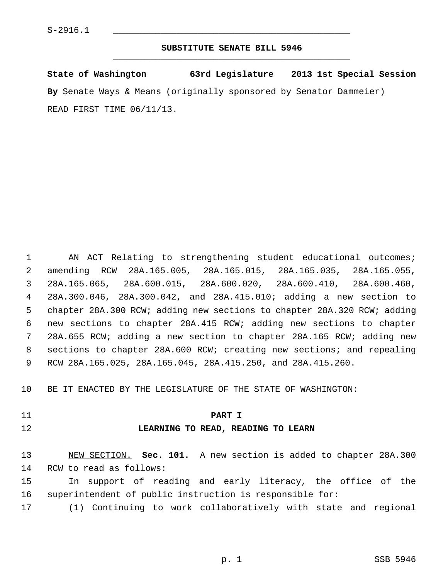# **SUBSTITUTE SENATE BILL 5946** \_\_\_\_\_\_\_\_\_\_\_\_\_\_\_\_\_\_\_\_\_\_\_\_\_\_\_\_\_\_\_\_\_\_\_\_\_\_\_\_\_\_\_\_\_

**State of Washington 63rd Legislature 2013 1st Special Session By** Senate Ways & Means (originally sponsored by Senator Dammeier) READ FIRST TIME 06/11/13.

 1 AN ACT Relating to strengthening student educational outcomes; 2 amending RCW 28A.165.005, 28A.165.015, 28A.165.035, 28A.165.055, 3 28A.165.065, 28A.600.015, 28A.600.020, 28A.600.410, 28A.600.460, 4 28A.300.046, 28A.300.042, and 28A.415.010; adding a new section to 5 chapter 28A.300 RCW; adding new sections to chapter 28A.320 RCW; adding 6 new sections to chapter 28A.415 RCW; adding new sections to chapter 7 28A.655 RCW; adding a new section to chapter 28A.165 RCW; adding new 8 sections to chapter 28A.600 RCW; creating new sections; and repealing 9 RCW 28A.165.025, 28A.165.045, 28A.415.250, and 28A.415.260.

10 BE IT ENACTED BY THE LEGISLATURE OF THE STATE OF WASHINGTON:

# 11 **PART I**

# 12 **LEARNING TO READ, READING TO LEARN**

13 NEW SECTION. **Sec. 101.** A new section is added to chapter 28A.300 14 RCW to read as follows:

15 In support of reading and early literacy, the office of the 16 superintendent of public instruction is responsible for:

17 (1) Continuing to work collaboratively with state and regional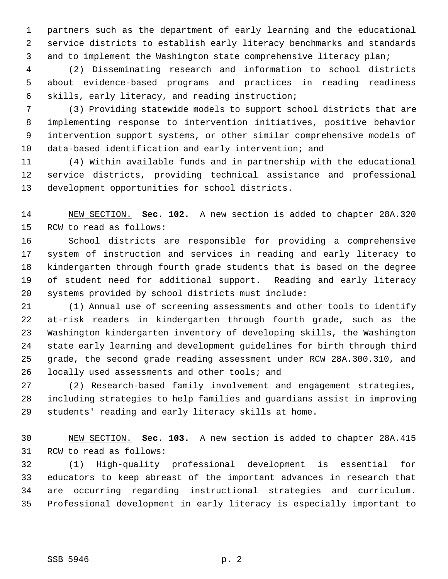1 partners such as the department of early learning and the educational 2 service districts to establish early literacy benchmarks and standards 3 and to implement the Washington state comprehensive literacy plan;

 4 (2) Disseminating research and information to school districts 5 about evidence-based programs and practices in reading readiness 6 skills, early literacy, and reading instruction;

 7 (3) Providing statewide models to support school districts that are 8 implementing response to intervention initiatives, positive behavior 9 intervention support systems, or other similar comprehensive models of 10 data-based identification and early intervention; and

11 (4) Within available funds and in partnership with the educational 12 service districts, providing technical assistance and professional 13 development opportunities for school districts.

14 NEW SECTION. **Sec. 102.** A new section is added to chapter 28A.320 15 RCW to read as follows:

16 School districts are responsible for providing a comprehensive 17 system of instruction and services in reading and early literacy to 18 kindergarten through fourth grade students that is based on the degree 19 of student need for additional support. Reading and early literacy 20 systems provided by school districts must include:

21 (1) Annual use of screening assessments and other tools to identify 22 at-risk readers in kindergarten through fourth grade, such as the 23 Washington kindergarten inventory of developing skills, the Washington 24 state early learning and development guidelines for birth through third 25 grade, the second grade reading assessment under RCW 28A.300.310, and 26 locally used assessments and other tools; and

27 (2) Research-based family involvement and engagement strategies, 28 including strategies to help families and guardians assist in improving 29 students' reading and early literacy skills at home.

30 NEW SECTION. **Sec. 103.** A new section is added to chapter 28A.415 31 RCW to read as follows:

32 (1) High-quality professional development is essential for 33 educators to keep abreast of the important advances in research that 34 are occurring regarding instructional strategies and curriculum. 35 Professional development in early literacy is especially important to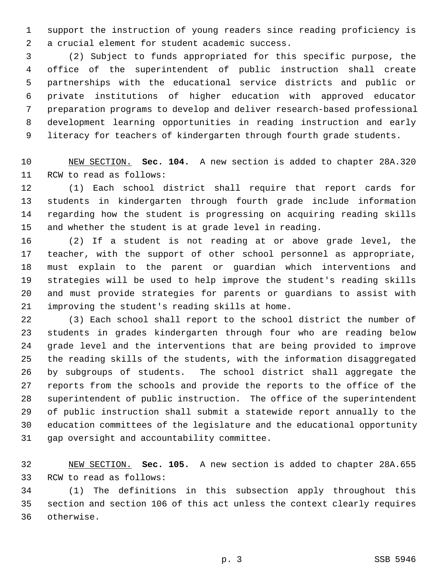1 support the instruction of young readers since reading proficiency is 2 a crucial element for student academic success.

 3 (2) Subject to funds appropriated for this specific purpose, the 4 office of the superintendent of public instruction shall create 5 partnerships with the educational service districts and public or 6 private institutions of higher education with approved educator 7 preparation programs to develop and deliver research-based professional 8 development learning opportunities in reading instruction and early 9 literacy for teachers of kindergarten through fourth grade students.

10 NEW SECTION. **Sec. 104.** A new section is added to chapter 28A.320 11 RCW to read as follows:

12 (1) Each school district shall require that report cards for 13 students in kindergarten through fourth grade include information 14 regarding how the student is progressing on acquiring reading skills 15 and whether the student is at grade level in reading.

16 (2) If a student is not reading at or above grade level, the 17 teacher, with the support of other school personnel as appropriate, 18 must explain to the parent or guardian which interventions and 19 strategies will be used to help improve the student's reading skills 20 and must provide strategies for parents or guardians to assist with 21 improving the student's reading skills at home.

22 (3) Each school shall report to the school district the number of 23 students in grades kindergarten through four who are reading below 24 grade level and the interventions that are being provided to improve 25 the reading skills of the students, with the information disaggregated 26 by subgroups of students. The school district shall aggregate the 27 reports from the schools and provide the reports to the office of the 28 superintendent of public instruction. The office of the superintendent 29 of public instruction shall submit a statewide report annually to the 30 education committees of the legislature and the educational opportunity 31 gap oversight and accountability committee.

32 NEW SECTION. **Sec. 105.** A new section is added to chapter 28A.655 33 RCW to read as follows:

34 (1) The definitions in this subsection apply throughout this 35 section and section 106 of this act unless the context clearly requires 36 otherwise.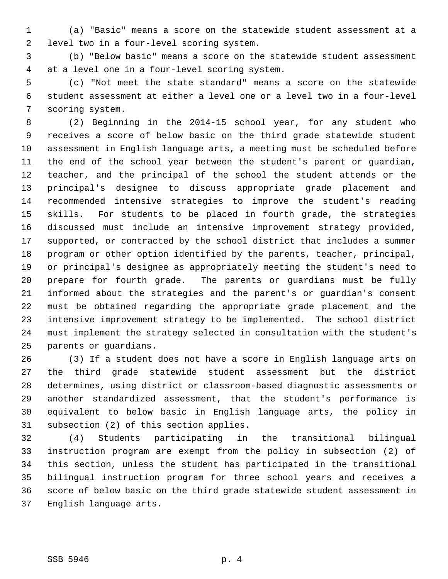1 (a) "Basic" means a score on the statewide student assessment at a 2 level two in a four-level scoring system.

 3 (b) "Below basic" means a score on the statewide student assessment 4 at a level one in a four-level scoring system.

 5 (c) "Not meet the state standard" means a score on the statewide 6 student assessment at either a level one or a level two in a four-level 7 scoring system.

 8 (2) Beginning in the 2014-15 school year, for any student who 9 receives a score of below basic on the third grade statewide student 10 assessment in English language arts, a meeting must be scheduled before 11 the end of the school year between the student's parent or guardian, 12 teacher, and the principal of the school the student attends or the 13 principal's designee to discuss appropriate grade placement and 14 recommended intensive strategies to improve the student's reading 15 skills. For students to be placed in fourth grade, the strategies 16 discussed must include an intensive improvement strategy provided, 17 supported, or contracted by the school district that includes a summer 18 program or other option identified by the parents, teacher, principal, 19 or principal's designee as appropriately meeting the student's need to 20 prepare for fourth grade. The parents or guardians must be fully 21 informed about the strategies and the parent's or guardian's consent 22 must be obtained regarding the appropriate grade placement and the 23 intensive improvement strategy to be implemented. The school district 24 must implement the strategy selected in consultation with the student's 25 parents or guardians.

26 (3) If a student does not have a score in English language arts on 27 the third grade statewide student assessment but the district 28 determines, using district or classroom-based diagnostic assessments or 29 another standardized assessment, that the student's performance is 30 equivalent to below basic in English language arts, the policy in 31 subsection (2) of this section applies.

32 (4) Students participating in the transitional bilingual 33 instruction program are exempt from the policy in subsection (2) of 34 this section, unless the student has participated in the transitional 35 bilingual instruction program for three school years and receives a 36 score of below basic on the third grade statewide student assessment in 37 English language arts.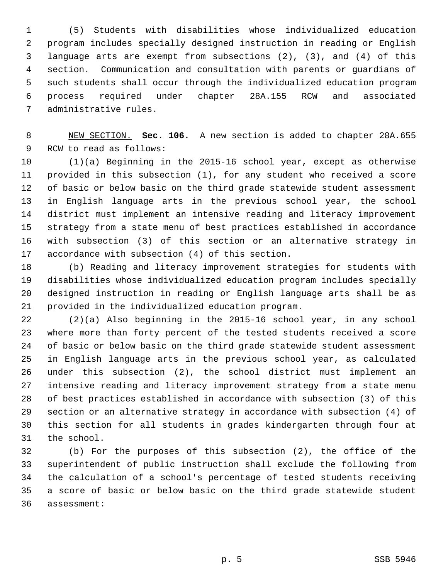1 (5) Students with disabilities whose individualized education 2 program includes specially designed instruction in reading or English 3 language arts are exempt from subsections (2), (3), and (4) of this 4 section. Communication and consultation with parents or guardians of 5 such students shall occur through the individualized education program 6 process required under chapter 28A.155 RCW and associated 7 administrative rules.

 8 NEW SECTION. **Sec. 106.** A new section is added to chapter 28A.655 9 RCW to read as follows:

10 (1)(a) Beginning in the 2015-16 school year, except as otherwise 11 provided in this subsection (1), for any student who received a score 12 of basic or below basic on the third grade statewide student assessment 13 in English language arts in the previous school year, the school 14 district must implement an intensive reading and literacy improvement 15 strategy from a state menu of best practices established in accordance 16 with subsection (3) of this section or an alternative strategy in 17 accordance with subsection (4) of this section.

18 (b) Reading and literacy improvement strategies for students with 19 disabilities whose individualized education program includes specially 20 designed instruction in reading or English language arts shall be as 21 provided in the individualized education program.

22 (2)(a) Also beginning in the 2015-16 school year, in any school 23 where more than forty percent of the tested students received a score 24 of basic or below basic on the third grade statewide student assessment 25 in English language arts in the previous school year, as calculated 26 under this subsection (2), the school district must implement an 27 intensive reading and literacy improvement strategy from a state menu 28 of best practices established in accordance with subsection (3) of this 29 section or an alternative strategy in accordance with subsection (4) of 30 this section for all students in grades kindergarten through four at 31 the school.

32 (b) For the purposes of this subsection (2), the office of the 33 superintendent of public instruction shall exclude the following from 34 the calculation of a school's percentage of tested students receiving 35 a score of basic or below basic on the third grade statewide student 36 assessment: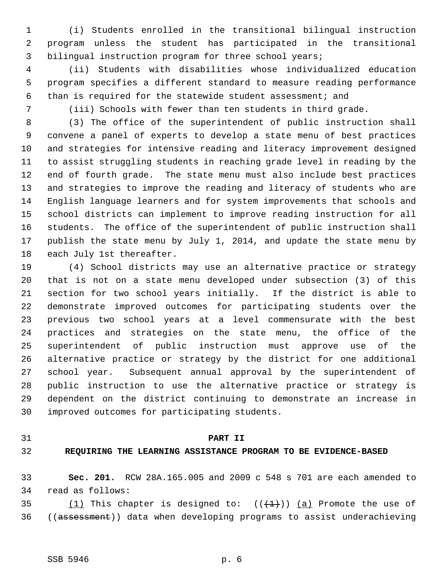1 (i) Students enrolled in the transitional bilingual instruction 2 program unless the student has participated in the transitional 3 bilingual instruction program for three school years;

 4 (ii) Students with disabilities whose individualized education 5 program specifies a different standard to measure reading performance 6 than is required for the statewide student assessment; and

7 (iii) Schools with fewer than ten students in third grade.

 8 (3) The office of the superintendent of public instruction shall 9 convene a panel of experts to develop a state menu of best practices 10 and strategies for intensive reading and literacy improvement designed 11 to assist struggling students in reaching grade level in reading by the 12 end of fourth grade. The state menu must also include best practices 13 and strategies to improve the reading and literacy of students who are 14 English language learners and for system improvements that schools and 15 school districts can implement to improve reading instruction for all 16 students. The office of the superintendent of public instruction shall 17 publish the state menu by July 1, 2014, and update the state menu by 18 each July 1st thereafter.

19 (4) School districts may use an alternative practice or strategy 20 that is not on a state menu developed under subsection (3) of this 21 section for two school years initially. If the district is able to 22 demonstrate improved outcomes for participating students over the 23 previous two school years at a level commensurate with the best 24 practices and strategies on the state menu, the office of the 25 superintendent of public instruction must approve use of the 26 alternative practice or strategy by the district for one additional 27 school year. Subsequent annual approval by the superintendent of 28 public instruction to use the alternative practice or strategy is 29 dependent on the district continuing to demonstrate an increase in 30 improved outcomes for participating students.

# 31 **PART II**

# 32 **REQUIRING THE LEARNING ASSISTANCE PROGRAM TO BE EVIDENCE-BASED**

33 **Sec. 201.** RCW 28A.165.005 and 2009 c 548 s 701 are each amended to 34 read as follows:

35 (1) This chapter is designed to:  $((+1)^n)$  (a) Promote the use of 36 ((assessment)) data when developing programs to assist underachieving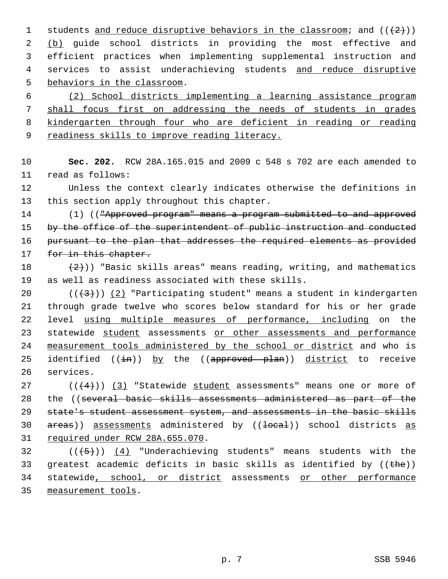1 students and reduce disruptive behaviors in the classroom; and  $((+2))$  2 (b) guide school districts in providing the most effective and 3 efficient practices when implementing supplemental instruction and 4 services to assist underachieving students and reduce disruptive 5 behaviors in the classroom.

 (2) School districts implementing a learning assistance program shall focus first on addressing the needs of students in grades kindergarten through four who are deficient in reading or reading readiness skills to improve reading literacy.

10 **Sec. 202.** RCW 28A.165.015 and 2009 c 548 s 702 are each amended to 11 read as follows:

12 Unless the context clearly indicates otherwise the definitions in 13 this section apply throughout this chapter.

14 (1) (("Approved program" means a program submitted to and approved 15 by the office of the superintendent of public instruction and conducted 16 pursuant to the plan that addresses the required elements as provided 17 for in this chapter.

18  $(2)$ )) "Basic skills areas" means reading, writing, and mathematics 19 as well as readiness associated with these skills.

20  $((+3))$   $(2)$  "Participating student" means a student in kindergarten 21 through grade twelve who scores below standard for his or her grade 22 level using multiple measures of performance, including on the 23 statewide student assessments or other assessments and performance 24 measurement tools administered by the school or district and who is 25 identified  $((\frac{1}{2}m))$  by the  $((\frac{1}{2}m)(\frac{1}{2}m)$  district to receive 26 services.

 ( $(\frac{4}{3})$  "Statewide student assessments" means one or more of 28 the ((several basic skills assessments administered as part of the state's student assessment system, and assessments in the basic skills  $areas)$  assessments administered by  $((\text{1oca1}))$  school districts as required under RCW 28A.655.070.

 $32$  (( $\left(\frac{5}{7}\right)$ ) (4) "Underachieving students" means students with the 33 greatest academic deficits in basic skills as identified by  $((the))$ 34 statewide, school, or district assessments or other performance 35 measurement tools.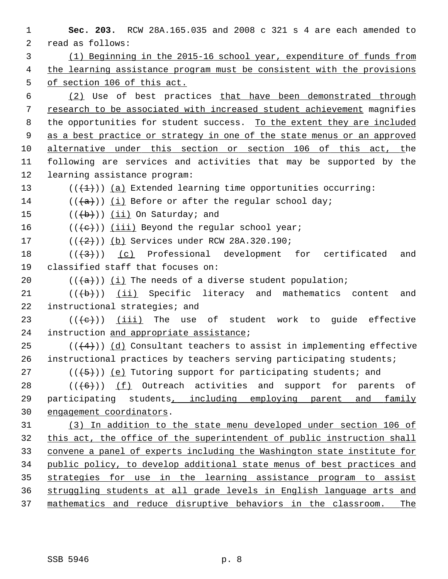**Sec. 203.** RCW 28A.165.035 and 2008 c 321 s 4 are each amended to 2 read as follows: (1) Beginning in the 2015-16 school year, expenditure of funds from the learning assistance program must be consistent with the provisions of section 106 of this act. (2) Use of best practices that have been demonstrated through research to be associated with increased student achievement magnifies 8 the opportunities for student success. To the extent they are included as a best practice or strategy in one of the state menus or an approved alternative under this section or section 106 of this act, the 11 following are services and activities that may be supported by the 12 learning assistance program:  $((+1))$  (a) Extended learning time opportunities occurring:  $((+a))$  (i) Before or after the regular school day;  $((+b))$  (ii) On Saturday; and  $((\{e\})$  (iii) Beyond the regular school year;  $((+2)^{n})$  (b) Services under RCW 28A.320.190; ( $(\overline{+3})$ ) (c) Professional development for certificated and 19 classified staff that focuses on:  $((+a))$  (i) The needs of a diverse student population;  $((+b))$  (ii) Specific literacy and mathematics content and 22 instructional strategies; and 23 ( $(\{e\})$ ) (iii) The use of student work to quide effective 24 instruction and appropriate assistance; 25 ( $(\frac{4}{4})$ ) (d) Consultant teachers to assist in implementing effective 26 instructional practices by teachers serving participating students; 27 ( $(\overline{\smash{.}(\{5\})})$  (e) Tutoring support for participating students; and  $((+6))$  (f) Outreach activities and support for parents of 29 participating students, including employing parent and family engagement coordinators. (3) In addition to the state menu developed under section 106 of this act, the office of the superintendent of public instruction shall convene a panel of experts including the Washington state institute for public policy, to develop additional state menus of best practices and strategies for use in the learning assistance program to assist struggling students at all grade levels in English language arts and mathematics and reduce disruptive behaviors in the classroom. The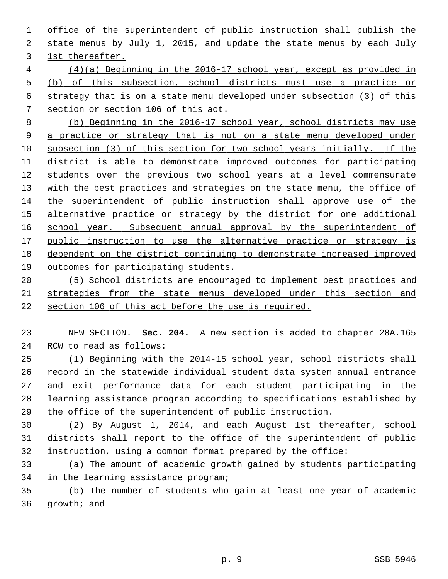office of the superintendent of public instruction shall publish the state menus by July 1, 2015, and update the state menus by each July 1st thereafter. (4)(a) Beginning in the 2016-17 school year, except as provided in (b) of this subsection, school districts must use a practice or strategy that is on a state menu developed under subsection (3) of this section or section 106 of this act. (b) Beginning in the 2016-17 school year, school districts may use a practice or strategy that is not on a state menu developed under subsection (3) of this section for two school years initially. If the district is able to demonstrate improved outcomes for participating students over the previous two school years at a level commensurate with the best practices and strategies on the state menu, the office of the superintendent of public instruction shall approve use of the alternative practice or strategy by the district for one additional school year. Subsequent annual approval by the superintendent of public instruction to use the alternative practice or strategy is dependent on the district continuing to demonstrate increased improved outcomes for participating students.

 (5) School districts are encouraged to implement best practices and strategies from the state menus developed under this section and section 106 of this act before the use is required.

 NEW SECTION. **Sec. 204.** A new section is added to chapter 28A.165 24 RCW to read as follows:

25 (1) Beginning with the 2014-15 school year, school districts shall 26 record in the statewide individual student data system annual entrance 27 and exit performance data for each student participating in the 28 learning assistance program according to specifications established by 29 the office of the superintendent of public instruction.

30 (2) By August 1, 2014, and each August 1st thereafter, school 31 districts shall report to the office of the superintendent of public 32 instruction, using a common format prepared by the office:

33 (a) The amount of academic growth gained by students participating 34 in the learning assistance program;

35 (b) The number of students who gain at least one year of academic 36 growth; and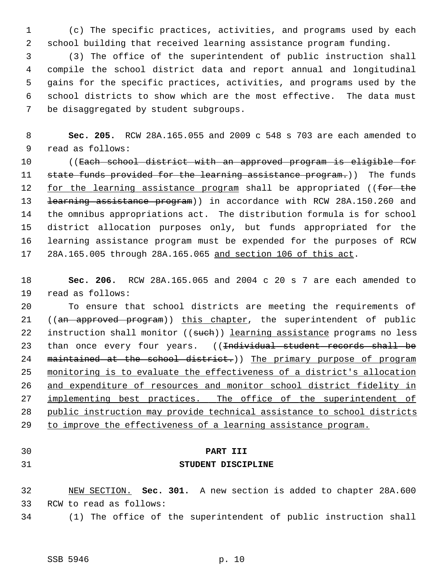1 (c) The specific practices, activities, and programs used by each 2 school building that received learning assistance program funding.

 3 (3) The office of the superintendent of public instruction shall 4 compile the school district data and report annual and longitudinal 5 gains for the specific practices, activities, and programs used by the 6 school districts to show which are the most effective. The data must 7 be disaggregated by student subgroups.

 8 **Sec. 205.** RCW 28A.165.055 and 2009 c 548 s 703 are each amended to 9 read as follows:

10 ((Each school district with an approved program is eligible for 11 state funds provided for the learning assistance program.)) The funds 12 for the learning assistance program shall be appropriated ((for the 13 <del>learning assistance program</del>)) in accordance with RCW 28A.150.260 and 14 the omnibus appropriations act. The distribution formula is for school 15 district allocation purposes only, but funds appropriated for the 16 learning assistance program must be expended for the purposes of RCW 17 28A.165.005 through 28A.165.065 and section 106 of this act.

18 **Sec. 206.** RCW 28A.165.065 and 2004 c 20 s 7 are each amended to 19 read as follows:

20 To ensure that school districts are meeting the requirements of 21 ((an approved program)) this chapter, the superintendent of public 22 instruction shall monitor ((such)) learning assistance programs no less 23 than once every four years. ((<del>Individual student records shall be</del> 24 maintained at the school district.)) The primary purpose of program 25 monitoring is to evaluate the effectiveness of a district's allocation 26 and expenditure of resources and monitor school district fidelity in 27 implementing best practices. The office of the superintendent of 28 public instruction may provide technical assistance to school districts 29 to improve the effectiveness of a learning assistance program.

# 30 **PART III**

# 31 **STUDENT DISCIPLINE**

32 NEW SECTION. **Sec. 301.** A new section is added to chapter 28A.600 33 RCW to read as follows:

34 (1) The office of the superintendent of public instruction shall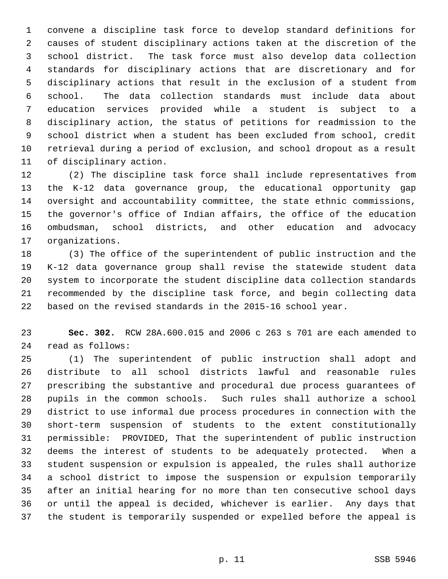1 convene a discipline task force to develop standard definitions for 2 causes of student disciplinary actions taken at the discretion of the 3 school district. The task force must also develop data collection 4 standards for disciplinary actions that are discretionary and for 5 disciplinary actions that result in the exclusion of a student from 6 school. The data collection standards must include data about 7 education services provided while a student is subject to a 8 disciplinary action, the status of petitions for readmission to the 9 school district when a student has been excluded from school, credit 10 retrieval during a period of exclusion, and school dropout as a result 11 of disciplinary action.

12 (2) The discipline task force shall include representatives from 13 the K-12 data governance group, the educational opportunity gap 14 oversight and accountability committee, the state ethnic commissions, 15 the governor's office of Indian affairs, the office of the education 16 ombudsman, school districts, and other education and advocacy 17 organizations.

18 (3) The office of the superintendent of public instruction and the 19 K-12 data governance group shall revise the statewide student data 20 system to incorporate the student discipline data collection standards 21 recommended by the discipline task force, and begin collecting data 22 based on the revised standards in the 2015-16 school year.

23 **Sec. 302.** RCW 28A.600.015 and 2006 c 263 s 701 are each amended to 24 read as follows:

25 (1) The superintendent of public instruction shall adopt and 26 distribute to all school districts lawful and reasonable rules 27 prescribing the substantive and procedural due process guarantees of 28 pupils in the common schools. Such rules shall authorize a school 29 district to use informal due process procedures in connection with the 30 short-term suspension of students to the extent constitutionally 31 permissible: PROVIDED, That the superintendent of public instruction 32 deems the interest of students to be adequately protected. When a 33 student suspension or expulsion is appealed, the rules shall authorize 34 a school district to impose the suspension or expulsion temporarily 35 after an initial hearing for no more than ten consecutive school days 36 or until the appeal is decided, whichever is earlier. Any days that 37 the student is temporarily suspended or expelled before the appeal is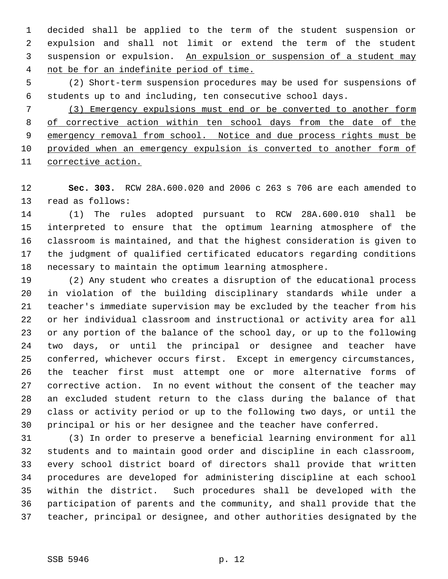1 decided shall be applied to the term of the student suspension or 2 expulsion and shall not limit or extend the term of the student 3 suspension or expulsion. An expulsion or suspension of a student may 4 not be for an indefinite period of time.

 5 (2) Short-term suspension procedures may be used for suspensions of 6 students up to and including, ten consecutive school days.

 (3) Emergency expulsions must end or be converted to another form of corrective action within ten school days from the date of the 9 emergency removal from school. Notice and due process rights must be provided when an emergency expulsion is converted to another form of corrective action.

12 **Sec. 303.** RCW 28A.600.020 and 2006 c 263 s 706 are each amended to 13 read as follows:

14 (1) The rules adopted pursuant to RCW 28A.600.010 shall be 15 interpreted to ensure that the optimum learning atmosphere of the 16 classroom is maintained, and that the highest consideration is given to 17 the judgment of qualified certificated educators regarding conditions 18 necessary to maintain the optimum learning atmosphere.

19 (2) Any student who creates a disruption of the educational process 20 in violation of the building disciplinary standards while under a 21 teacher's immediate supervision may be excluded by the teacher from his 22 or her individual classroom and instructional or activity area for all 23 or any portion of the balance of the school day, or up to the following 24 two days, or until the principal or designee and teacher have 25 conferred, whichever occurs first. Except in emergency circumstances, 26 the teacher first must attempt one or more alternative forms of 27 corrective action. In no event without the consent of the teacher may 28 an excluded student return to the class during the balance of that 29 class or activity period or up to the following two days, or until the 30 principal or his or her designee and the teacher have conferred.

31 (3) In order to preserve a beneficial learning environment for all 32 students and to maintain good order and discipline in each classroom, 33 every school district board of directors shall provide that written 34 procedures are developed for administering discipline at each school 35 within the district. Such procedures shall be developed with the 36 participation of parents and the community, and shall provide that the 37 teacher, principal or designee, and other authorities designated by the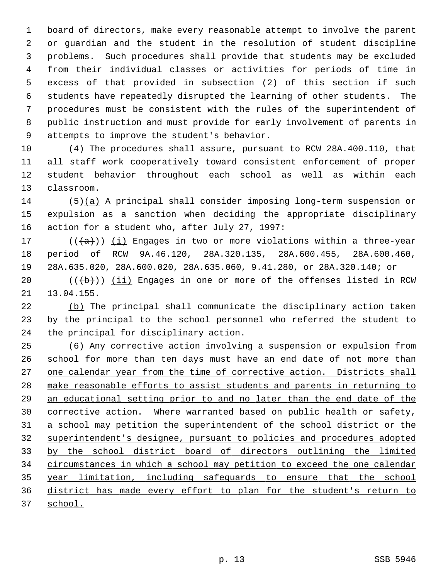1 board of directors, make every reasonable attempt to involve the parent 2 or guardian and the student in the resolution of student discipline 3 problems. Such procedures shall provide that students may be excluded 4 from their individual classes or activities for periods of time in 5 excess of that provided in subsection (2) of this section if such 6 students have repeatedly disrupted the learning of other students. The 7 procedures must be consistent with the rules of the superintendent of 8 public instruction and must provide for early involvement of parents in 9 attempts to improve the student's behavior.

10 (4) The procedures shall assure, pursuant to RCW 28A.400.110, that 11 all staff work cooperatively toward consistent enforcement of proper 12 student behavior throughout each school as well as within each 13 classroom.

14 (5)(a) A principal shall consider imposing long-term suspension or 15 expulsion as a sanction when deciding the appropriate disciplinary 16 action for a student who, after July 27, 1997:

17 ( $(\overline{a})$ ) (i) Engages in two or more violations within a three-year 18 period of RCW 9A.46.120, 28A.320.135, 28A.600.455, 28A.600.460, 19 28A.635.020, 28A.600.020, 28A.635.060, 9.41.280, or 28A.320.140; or

20  $((\{b\})$  (ii) Engages in one or more of the offenses listed in RCW 21 13.04.155.

22 (b) The principal shall communicate the disciplinary action taken 23 by the principal to the school personnel who referred the student to 24 the principal for disciplinary action.

 (6) Any corrective action involving a suspension or expulsion from school for more than ten days must have an end date of not more than 27 one calendar year from the time of corrective action. Districts shall make reasonable efforts to assist students and parents in returning to an educational setting prior to and no later than the end date of the corrective action. Where warranted based on public health or safety, a school may petition the superintendent of the school district or the superintendent's designee, pursuant to policies and procedures adopted by the school district board of directors outlining the limited circumstances in which a school may petition to exceed the one calendar year limitation, including safeguards to ensure that the school district has made every effort to plan for the student's return to 37 school.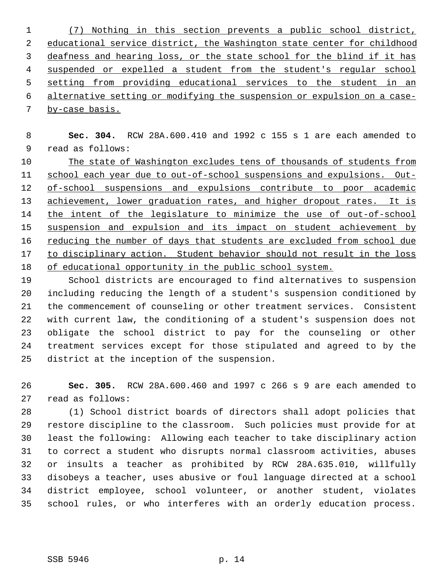(7) Nothing in this section prevents a public school district, educational service district, the Washington state center for childhood deafness and hearing loss, or the state school for the blind if it has suspended or expelled a student from the student's regular school setting from providing educational services to the student in an alternative setting or modifying the suspension or expulsion on a case- by-case basis.

 8 **Sec. 304.** RCW 28A.600.410 and 1992 c 155 s 1 are each amended to 9 read as follows:

 The state of Washington excludes tens of thousands of students from school each year due to out-of-school suspensions and expulsions. Out-12 of-school suspensions and expulsions contribute to poor academic achievement, lower graduation rates, and higher dropout rates. It is the intent of the legislature to minimize the use of out-of-school suspension and expulsion and its impact on student achievement by reducing the number of days that students are excluded from school due to disciplinary action. Student behavior should not result in the loss of educational opportunity in the public school system.

19 School districts are encouraged to find alternatives to suspension 20 including reducing the length of a student's suspension conditioned by 21 the commencement of counseling or other treatment services. Consistent 22 with current law, the conditioning of a student's suspension does not 23 obligate the school district to pay for the counseling or other 24 treatment services except for those stipulated and agreed to by the 25 district at the inception of the suspension.

26 **Sec. 305.** RCW 28A.600.460 and 1997 c 266 s 9 are each amended to 27 read as follows:

28 (1) School district boards of directors shall adopt policies that 29 restore discipline to the classroom. Such policies must provide for at 30 least the following: Allowing each teacher to take disciplinary action 31 to correct a student who disrupts normal classroom activities, abuses 32 or insults a teacher as prohibited by RCW 28A.635.010, willfully 33 disobeys a teacher, uses abusive or foul language directed at a school 34 district employee, school volunteer, or another student, violates 35 school rules, or who interferes with an orderly education process.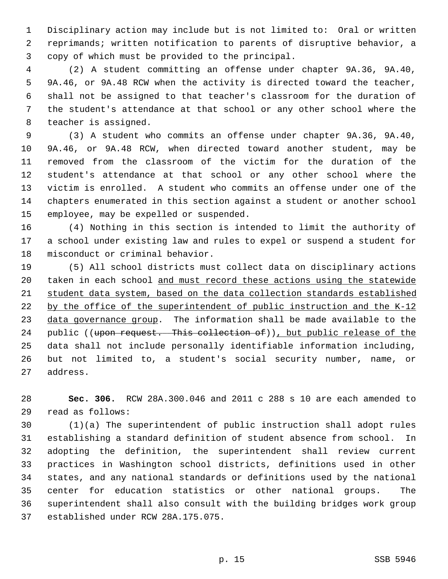1 Disciplinary action may include but is not limited to: Oral or written 2 reprimands; written notification to parents of disruptive behavior, a 3 copy of which must be provided to the principal.

 4 (2) A student committing an offense under chapter 9A.36, 9A.40, 5 9A.46, or 9A.48 RCW when the activity is directed toward the teacher, 6 shall not be assigned to that teacher's classroom for the duration of 7 the student's attendance at that school or any other school where the 8 teacher is assigned.

 9 (3) A student who commits an offense under chapter 9A.36, 9A.40, 10 9A.46, or 9A.48 RCW, when directed toward another student, may be 11 removed from the classroom of the victim for the duration of the 12 student's attendance at that school or any other school where the 13 victim is enrolled. A student who commits an offense under one of the 14 chapters enumerated in this section against a student or another school 15 employee, may be expelled or suspended.

16 (4) Nothing in this section is intended to limit the authority of 17 a school under existing law and rules to expel or suspend a student for 18 misconduct or criminal behavior.

19 (5) All school districts must collect data on disciplinary actions 20 taken in each school and must record these actions using the statewide 21 student data system, based on the data collection standards established 22 by the office of the superintendent of public instruction and the K-12 23 data governance group. The information shall be made available to the 24 public ((upon request. This collection of)), but public release of the 25 data shall not include personally identifiable information including, 26 but not limited to, a student's social security number, name, or 27 address.

28 **Sec. 306.** RCW 28A.300.046 and 2011 c 288 s 10 are each amended to 29 read as follows:

30 (1)(a) The superintendent of public instruction shall adopt rules 31 establishing a standard definition of student absence from school. In 32 adopting the definition, the superintendent shall review current 33 practices in Washington school districts, definitions used in other 34 states, and any national standards or definitions used by the national 35 center for education statistics or other national groups. The 36 superintendent shall also consult with the building bridges work group 37 established under RCW 28A.175.075.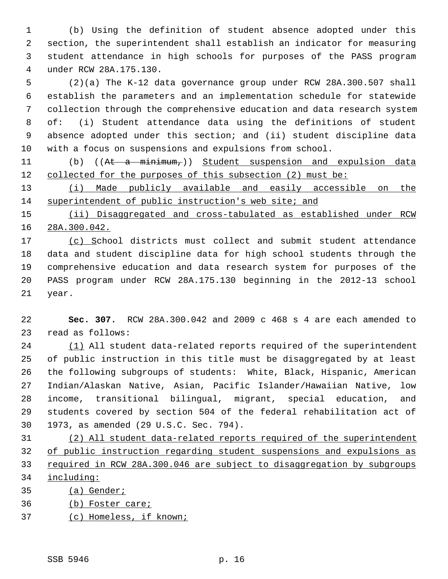1 (b) Using the definition of student absence adopted under this 2 section, the superintendent shall establish an indicator for measuring 3 student attendance in high schools for purposes of the PASS program 4 under RCW 28A.175.130.

 5 (2)(a) The K-12 data governance group under RCW 28A.300.507 shall 6 establish the parameters and an implementation schedule for statewide 7 collection through the comprehensive education and data research system 8 of: (i) Student attendance data using the definitions of student 9 absence adopted under this section; and (ii) student discipline data 10 with a focus on suspensions and expulsions from school.

11 (b) ((At a minimum,)) Student suspension and expulsion data 12 collected for the purposes of this subsection (2) must be:

13 (i) Made publicly available and easily accessible on the 14 superintendent of public instruction's web site; and

15 (ii) Disaggregated and cross-tabulated as established under RCW 16 28A.300.042.

17 (c) School districts must collect and submit student attendance 18 data and student discipline data for high school students through the 19 comprehensive education and data research system for purposes of the 20 PASS program under RCW 28A.175.130 beginning in the 2012-13 school 21 year.

22 **Sec. 307.** RCW 28A.300.042 and 2009 c 468 s 4 are each amended to 23 read as follows:

24 (1) All student data-related reports required of the superintendent 25 of public instruction in this title must be disaggregated by at least 26 the following subgroups of students: White, Black, Hispanic, American 27 Indian/Alaskan Native, Asian, Pacific Islander/Hawaiian Native, low 28 income, transitional bilingual, migrant, special education, and 29 students covered by section 504 of the federal rehabilitation act of 30 1973, as amended (29 U.S.C. Sec. 794).

 (2) All student data-related reports required of the superintendent of public instruction regarding student suspensions and expulsions as required in RCW 28A.300.046 are subject to disaggregation by subgroups including:

35 (a) Gender;

36 (b) Foster care;

37 (c) Homeless, if known;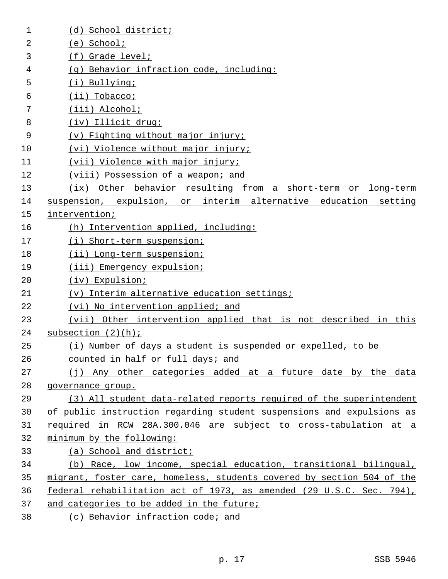| 1  | (d) School district;                                                   |
|----|------------------------------------------------------------------------|
| 2  | $(e)$ School;                                                          |
| 3  | $(f)$ Grade level;                                                     |
| 4  | (g) Behavior infraction code, including:                               |
| 5  | (i) Bullying;                                                          |
| 6  | $(ii)$ Tobacco;                                                        |
| 7  | (iii) Alcohol;                                                         |
| 8  | (iv) Illicit drug;                                                     |
| 9  | (v) Fighting without major injury;                                     |
| 10 | (vi) Violence without major injury;                                    |
| 11 | (vii) Violence with major injury;                                      |
| 12 | (viii) Possession of a weapon; and                                     |
| 13 | (ix) Other behavior resulting from a short-term or long-term           |
| 14 | suspension, expulsion, or interim alternative education setting        |
| 15 | intervention;                                                          |
| 16 | (h) Intervention applied, including:                                   |
| 17 | (i) Short-term suspension;                                             |
| 18 | (ii) Long-term suspension;                                             |
| 19 | (iii) Emergency expulsion;                                             |
| 20 | (iv) Expulsion;                                                        |
| 21 | (v) Interim alternative education settings;                            |
| 22 | (vi) No intervention applied; and                                      |
| 23 | (vii) Other intervention applied that is not described in this         |
| 24 | subsection $(2)(h)$ ;                                                  |
| 25 | (i) Number of days a student is suspended or expelled, to be           |
| 26 | counted in half or full days; and                                      |
| 27 | (j) Any other categories added at a future date by the data            |
| 28 | governance group.                                                      |
| 29 | (3) All student data-related reports required of the superintendent    |
| 30 | of public instruction regarding student suspensions and expulsions as  |
| 31 | required in RCW 28A.300.046 are subject to cross-tabulation at a       |
| 32 | minimum by the following:                                              |
| 33 | (a) School and district;                                               |
| 34 | (b) Race, low income, special education, transitional bilingual,       |
| 35 | migrant, foster care, homeless, students covered by section 504 of the |
| 36 | federal rehabilitation act of 1973, as amended (29 U.S.C. Sec. 794),   |
| 37 | and categories to be added in the future;                              |
| 38 | (c) Behavior infraction code; and                                      |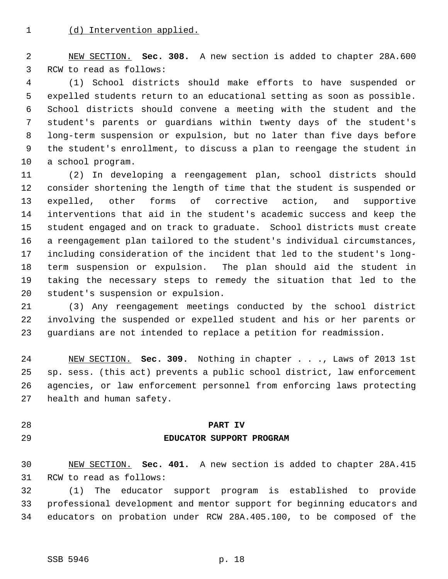2 NEW SECTION. **Sec. 308.** A new section is added to chapter 28A.600 3 RCW to read as follows:

 4 (1) School districts should make efforts to have suspended or 5 expelled students return to an educational setting as soon as possible. 6 School districts should convene a meeting with the student and the 7 student's parents or guardians within twenty days of the student's 8 long-term suspension or expulsion, but no later than five days before 9 the student's enrollment, to discuss a plan to reengage the student in 10 a school program.

11 (2) In developing a reengagement plan, school districts should 12 consider shortening the length of time that the student is suspended or 13 expelled, other forms of corrective action, and supportive 14 interventions that aid in the student's academic success and keep the 15 student engaged and on track to graduate. School districts must create 16 a reengagement plan tailored to the student's individual circumstances, 17 including consideration of the incident that led to the student's long-18 term suspension or expulsion. The plan should aid the student in 19 taking the necessary steps to remedy the situation that led to the 20 student's suspension or expulsion.

21 (3) Any reengagement meetings conducted by the school district 22 involving the suspended or expelled student and his or her parents or 23 guardians are not intended to replace a petition for readmission.

24 NEW SECTION. **Sec. 309.** Nothing in chapter . . ., Laws of 2013 1st 25 sp. sess. (this act) prevents a public school district, law enforcement 26 agencies, or law enforcement personnel from enforcing laws protecting 27 health and human safety.

# 28 **PART IV** 29 **EDUCATOR SUPPORT PROGRAM**

30 NEW SECTION. **Sec. 401.** A new section is added to chapter 28A.415 31 RCW to read as follows:

32 (1) The educator support program is established to provide 33 professional development and mentor support for beginning educators and 34 educators on probation under RCW 28A.405.100, to be composed of the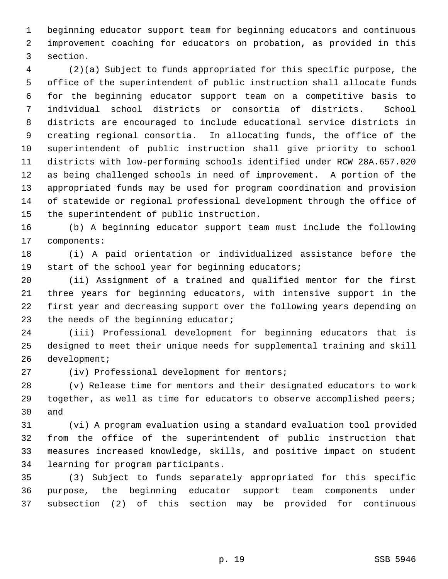1 beginning educator support team for beginning educators and continuous 2 improvement coaching for educators on probation, as provided in this 3 section.

 4 (2)(a) Subject to funds appropriated for this specific purpose, the 5 office of the superintendent of public instruction shall allocate funds 6 for the beginning educator support team on a competitive basis to 7 individual school districts or consortia of districts. School 8 districts are encouraged to include educational service districts in 9 creating regional consortia. In allocating funds, the office of the 10 superintendent of public instruction shall give priority to school 11 districts with low-performing schools identified under RCW 28A.657.020 12 as being challenged schools in need of improvement. A portion of the 13 appropriated funds may be used for program coordination and provision 14 of statewide or regional professional development through the office of 15 the superintendent of public instruction.

16 (b) A beginning educator support team must include the following 17 components:

18 (i) A paid orientation or individualized assistance before the 19 start of the school year for beginning educators;

20 (ii) Assignment of a trained and qualified mentor for the first 21 three years for beginning educators, with intensive support in the 22 first year and decreasing support over the following years depending on 23 the needs of the beginning educator;

24 (iii) Professional development for beginning educators that is 25 designed to meet their unique needs for supplemental training and skill 26 development;

27 (iv) Professional development for mentors;

28 (v) Release time for mentors and their designated educators to work 29 together, as well as time for educators to observe accomplished peers; 30 and

31 (vi) A program evaluation using a standard evaluation tool provided 32 from the office of the superintendent of public instruction that 33 measures increased knowledge, skills, and positive impact on student 34 learning for program participants.

35 (3) Subject to funds separately appropriated for this specific 36 purpose, the beginning educator support team components under 37 subsection (2) of this section may be provided for continuous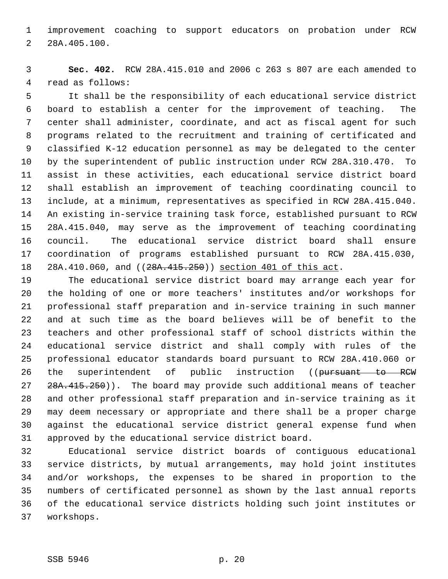1 improvement coaching to support educators on probation under RCW 2 28A.405.100.

 3 **Sec. 402.** RCW 28A.415.010 and 2006 c 263 s 807 are each amended to 4 read as follows:

 5 It shall be the responsibility of each educational service district 6 board to establish a center for the improvement of teaching. The 7 center shall administer, coordinate, and act as fiscal agent for such 8 programs related to the recruitment and training of certificated and 9 classified K-12 education personnel as may be delegated to the center 10 by the superintendent of public instruction under RCW 28A.310.470. To 11 assist in these activities, each educational service district board 12 shall establish an improvement of teaching coordinating council to 13 include, at a minimum, representatives as specified in RCW 28A.415.040. 14 An existing in-service training task force, established pursuant to RCW 15 28A.415.040, may serve as the improvement of teaching coordinating 16 council. The educational service district board shall ensure 17 coordination of programs established pursuant to RCW 28A.415.030, 18 28A.410.060, and ((28A.415.250)) section 401 of this act.

19 The educational service district board may arrange each year for 20 the holding of one or more teachers' institutes and/or workshops for 21 professional staff preparation and in-service training in such manner 22 and at such time as the board believes will be of benefit to the 23 teachers and other professional staff of school districts within the 24 educational service district and shall comply with rules of the 25 professional educator standards board pursuant to RCW 28A.410.060 or 26 the superintendent of public instruction ((pursuant to RCW 27 28A.415.250)). The board may provide such additional means of teacher 28 and other professional staff preparation and in-service training as it 29 may deem necessary or appropriate and there shall be a proper charge 30 against the educational service district general expense fund when 31 approved by the educational service district board.

32 Educational service district boards of contiguous educational 33 service districts, by mutual arrangements, may hold joint institutes 34 and/or workshops, the expenses to be shared in proportion to the 35 numbers of certificated personnel as shown by the last annual reports 36 of the educational service districts holding such joint institutes or 37 workshops.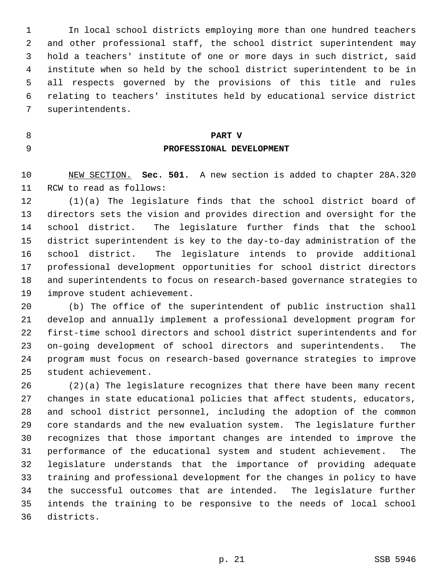1 In local school districts employing more than one hundred teachers 2 and other professional staff, the school district superintendent may 3 hold a teachers' institute of one or more days in such district, said 4 institute when so held by the school district superintendent to be in 5 all respects governed by the provisions of this title and rules 6 relating to teachers' institutes held by educational service district 7 superintendents.

# 8 **PART V** 9 **PROFESSIONAL DEVELOPMENT**

10 NEW SECTION. **Sec. 501.** A new section is added to chapter 28A.320 11 RCW to read as follows:

12 (1)(a) The legislature finds that the school district board of 13 directors sets the vision and provides direction and oversight for the 14 school district. The legislature further finds that the school 15 district superintendent is key to the day-to-day administration of the 16 school district. The legislature intends to provide additional 17 professional development opportunities for school district directors 18 and superintendents to focus on research-based governance strategies to 19 improve student achievement.

20 (b) The office of the superintendent of public instruction shall 21 develop and annually implement a professional development program for 22 first-time school directors and school district superintendents and for 23 on-going development of school directors and superintendents. The 24 program must focus on research-based governance strategies to improve 25 student achievement.

26 (2)(a) The legislature recognizes that there have been many recent 27 changes in state educational policies that affect students, educators, 28 and school district personnel, including the adoption of the common 29 core standards and the new evaluation system. The legislature further 30 recognizes that those important changes are intended to improve the 31 performance of the educational system and student achievement. The 32 legislature understands that the importance of providing adequate 33 training and professional development for the changes in policy to have 34 the successful outcomes that are intended. The legislature further 35 intends the training to be responsive to the needs of local school 36 districts.